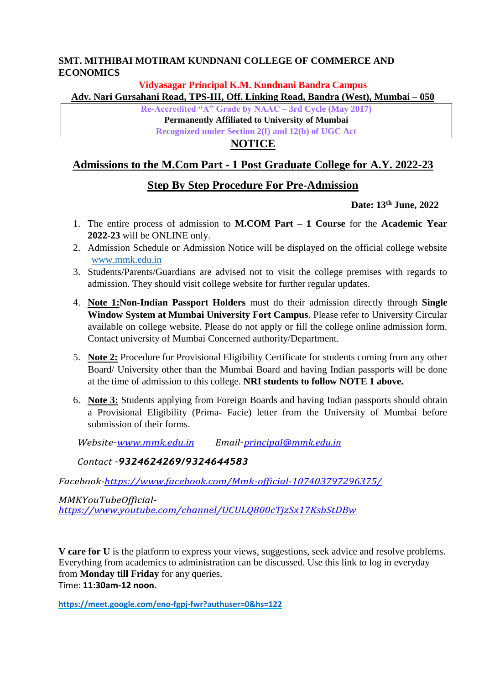### **SMT. MITHIBAI MOTIRAM KUNDNANI COLLEGE OF COMMERCE AND ECONOMICS**

#### **Vidyasagar Principal K.M. Kundnani Bandra Campus**

**Adv. Nari Gursahani Road, TPS-III, Off. Linking Road, Bandra (West), Mumbai – 050**

**Re-Accredited "A" Grade by NAAC – 3rd Cycle (May 2017)** 

**Permanently Affiliated to University of Mumbai** 

**Recognized under Section 2(f) and 12(b) of UGC Act**

## **NOTICE**

## **Admissions to the M.Com Part - 1 Post Graduate College for A.Y. 2022-23**

## **Step By Step Procedure For Pre-Admission**

### **Date: 13th June, 2022**

- 1. The entire process of admission to **M.COM Part – 1 Course** for the **Academic Year 2022-23** will be ONLINE only.
- 2. Admission Schedule or Admission Notice will be displayed on the official college website [www.mmk.edu.in](http://www.mmk.edu.in/)
- 3. Students/Parents/Guardians are advised not to visit the college premises with regards to admission. They should visit college website for further regular updates.
- 4. **Note 1:Non-Indian Passport Holders** must do their admission directly through **Single Window System at Mumbai University Fort Campus**. Please refer to University Circular available on college website. Please do not apply or fill the college online admission form. Contact university of Mumbai Concerned authority/Department.
- 5. **Note 2:** Procedure for Provisional Eligibility Certificate for students coming from any other Board/ University other than the Mumbai Board and having Indian passports will be done at the time of admission to this college. **NRI students to follow NOTE 1 above.**
- 6. **Note 3:** Students applying from Foreign Boards and having Indian passports should obtain a Provisional Eligibility (Prima- Facie) letter from the University of Mumbai before submission of their forms.

 *Website–www.mmk.edu.in Email–[principal@mmk.edu.in](mailto:principal@mmk.edu.in)*

#### *Contact –9324624269/9324644583*

*Facebook-https:/[/www.facebook.com/Mmk-official-107403797296375/](http://www.facebook.com/Mmk-official-107403797296375/)*

*MMKYouTubeOfficialhttps:/[/www.youtube.com/channel/UCULQ800cTjzSx17KsbStDBw](http://www.youtube.com/channel/UCULQ800cTjzSx17KsbStDBw)*

**V care for U** is the platform to express your views, suggestions, seek advice and resolve problems. Everything from academics to administration can be discussed. Use this link to log in everyday from **Monday till Friday** for any queries. Time: **11:30am-12 noon.**

**<https://meet.google.com/eno-fgpj-fwr?authuser=0&hs=122>**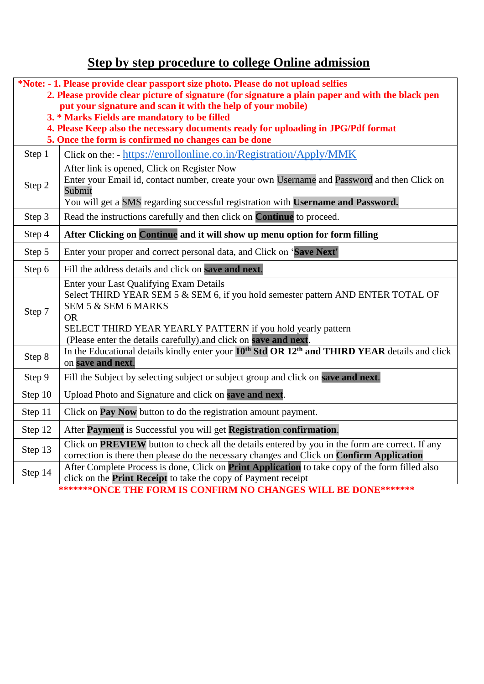# **Step by step procedure to college Online admission**

| *Note: - 1. Please provide clear passport size photo. Please do not upload selfies<br>2. Please provide clear picture of signature (for signature a plain paper and with the black pen<br>put your signature and scan it with the help of your mobile)<br>3. * Marks Fields are mandatory to be filled<br>4. Please Keep also the necessary documents ready for uploading in JPG/Pdf format<br>5. Once the form is confirmed no changes can be done |                                                                                                                                                                                                                                                                                                    |  |  |  |
|-----------------------------------------------------------------------------------------------------------------------------------------------------------------------------------------------------------------------------------------------------------------------------------------------------------------------------------------------------------------------------------------------------------------------------------------------------|----------------------------------------------------------------------------------------------------------------------------------------------------------------------------------------------------------------------------------------------------------------------------------------------------|--|--|--|
| Step 1                                                                                                                                                                                                                                                                                                                                                                                                                                              | Click on the: - https://enrollonline.co.in/Registration/Apply/MMK                                                                                                                                                                                                                                  |  |  |  |
| Step 2                                                                                                                                                                                                                                                                                                                                                                                                                                              | After link is opened, Click on Register Now<br>Enter your Email id, contact number, create your own Username and Password and then Click on<br>Submit<br>You will get a SMS regarding successful registration with Username and Password.                                                          |  |  |  |
| Step 3                                                                                                                                                                                                                                                                                                                                                                                                                                              | Read the instructions carefully and then click on <b>Continue</b> to proceed.                                                                                                                                                                                                                      |  |  |  |
| Step 4                                                                                                                                                                                                                                                                                                                                                                                                                                              | After Clicking on Continue and it will show up menu option for form filling                                                                                                                                                                                                                        |  |  |  |
| Step 5                                                                                                                                                                                                                                                                                                                                                                                                                                              | Enter your proper and correct personal data, and Click on 'Save Next'                                                                                                                                                                                                                              |  |  |  |
| Step 6                                                                                                                                                                                                                                                                                                                                                                                                                                              | Fill the address details and click on save and next.                                                                                                                                                                                                                                               |  |  |  |
| Step 7                                                                                                                                                                                                                                                                                                                                                                                                                                              | Enter your Last Qualifying Exam Details<br>Select THIRD YEAR SEM 5 & SEM 6, if you hold semester pattern AND ENTER TOTAL OF<br>SEM 5 & SEM 6 MARKS<br><b>OR</b><br>SELECT THIRD YEAR YEARLY PATTERN if you hold yearly pattern<br>(Please enter the details carefully).and click on save and next. |  |  |  |
| Step 8                                                                                                                                                                                                                                                                                                                                                                                                                                              | In the Educational details kindly enter your 10 <sup>th</sup> Std OR 12 <sup>th</sup> and THIRD YEAR details and click<br>on save and next.                                                                                                                                                        |  |  |  |
| Step 9                                                                                                                                                                                                                                                                                                                                                                                                                                              | Fill the Subject by selecting subject or subject group and click on save and next.                                                                                                                                                                                                                 |  |  |  |
| Step 10                                                                                                                                                                                                                                                                                                                                                                                                                                             | Upload Photo and Signature and click on save and next.                                                                                                                                                                                                                                             |  |  |  |
| Step 11                                                                                                                                                                                                                                                                                                                                                                                                                                             | Click on <b>Pay Now</b> button to do the registration amount payment.                                                                                                                                                                                                                              |  |  |  |
| Step 12                                                                                                                                                                                                                                                                                                                                                                                                                                             | After Payment is Successful you will get Registration confirmation.                                                                                                                                                                                                                                |  |  |  |
| Step 13                                                                                                                                                                                                                                                                                                                                                                                                                                             | Click on PREVIEW button to check all the details entered by you in the form are correct. If any<br>correction is there then please do the necessary changes and Click on Confirm Application                                                                                                       |  |  |  |
| Step 14                                                                                                                                                                                                                                                                                                                                                                                                                                             | After Complete Process is done, Click on Print Application to take copy of the form filled also<br>click on the <b>Print Receipt</b> to take the copy of Payment receipt                                                                                                                           |  |  |  |
| *******ONCE THE FORM IS CONFIRM NO CHANGES WILL BE DONE*******                                                                                                                                                                                                                                                                                                                                                                                      |                                                                                                                                                                                                                                                                                                    |  |  |  |